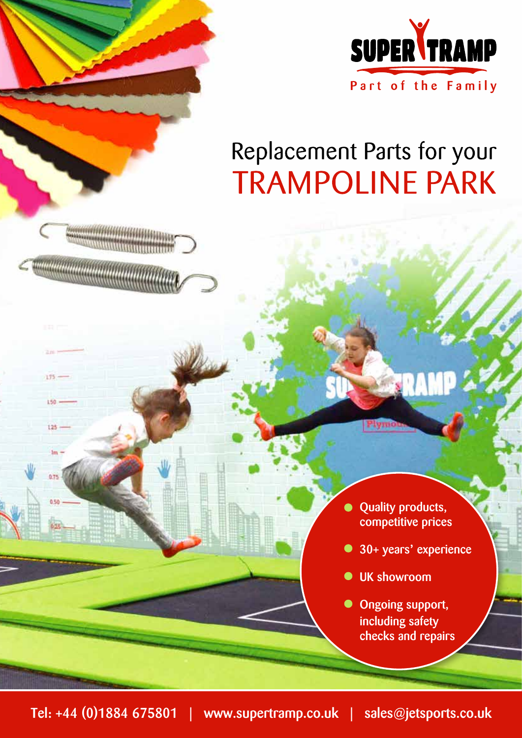

# Replacement Parts for your **TRAMPOLINE PARK**

- Quality products,  $\bullet$ competitive prices
- 30+ years**'** experience
- UK showroom  $\bullet$

Plymo

Ongoing support,  $\bullet$ including safety checks and repairs

175

 $150.$ 

 $125 -$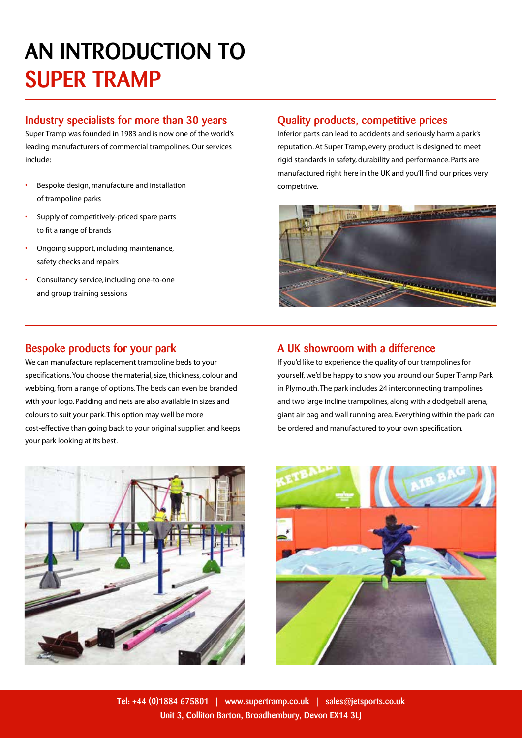# AN INTRODUCTION TO SUPER TRAMP

#### Industry specialists for more than 30 years

Super Tramp was founded in 1983 and is now one of the world's leading manufacturers of commercial trampolines. Our services include:

- Bespoke design, manufacture and installation of trampoline parks
- Supply of competitively-priced spare parts to fit a range of brands
- Ongoing support, including maintenance, safety checks and repairs
- Consultancy service, including one-to-one and group training sessions

#### Quality products, competitive prices

Inferior parts can lead to accidents and seriously harm a park's reputation. At Super Tramp, every product is designed to meet rigid standards in safety, durability and performance. Parts are manufactured right here in the UK and you'll find our prices very competitive.



### Bespoke products for your park

We can manufacture replacement trampoline beds to your specifications. You choose the material, size, thickness, colour and webbing, from a range of options. The beds can even be branded with your logo. Padding and nets are also available in sizes and colours to suit your park. This option may well be more cost-effective than going back to your original supplier, and keeps your park looking at its best.



### A UK showroom with a difference If you'd like to experience the quality of our trampolines for

yourself, we'd be happy to show you around our Super Tramp Park in Plymouth. The park includes 24 interconnecting trampolines and two large incline trampolines, along with a dodgeball arena, giant air bag and wall running area. Everything within the park can be ordered and manufactured to your own specification.

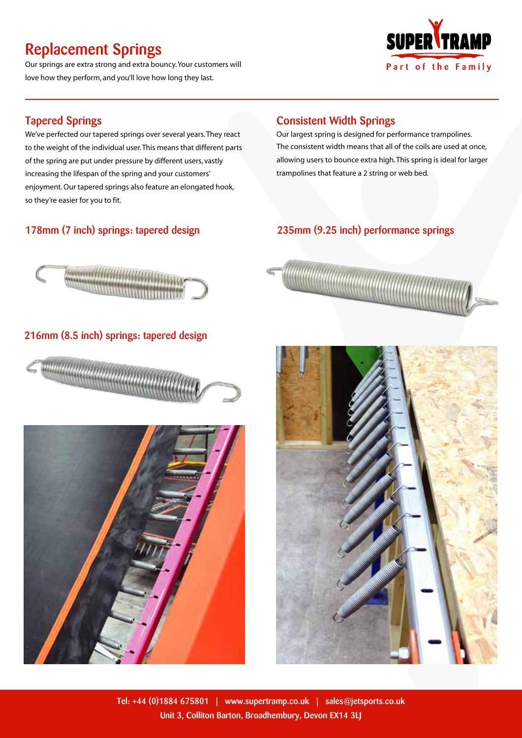# Replacement Springs

Our springs are extra strong and extra bouncy. Your customers will love how they perform, and you'll love how long they last.



### Tapered Springs

We've perfected our tapered springs over several years. They react to the weight of the individual user. This means that different parts of the spring are put under pressure by different users, vastly increasing the lifespan of the spring and your customers' enjoyment. Our tapered springs also feature an elongated hook, so they're easier for you to fit.

### 178mm (7 inch) springs: tapered design

### Consistent Width Springs

Our largest spring is designed for performance trampolines. The consistent width means that all of the coils are used at once, allowing users to bounce extra high. This spring is ideal for larger trampolines that feature a 2 string or web bed.

### 235mm (9.25 inch) performance springs



### 216mm (8.5 inch) springs: tapered design







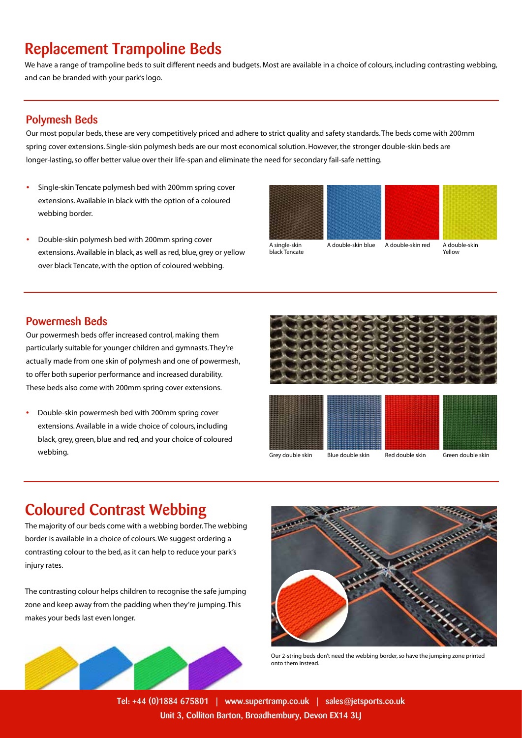## Replacement Trampoline Beds

We have a range of trampoline beds to suit different needs and budgets. Most are available in a choice of colours, including contrasting webbing, and can be branded with your park's logo.

#### Polymesh Beds

Our most popular beds, these are very competitively priced and adhere to strict quality and safety standards. The beds come with 200mm spring cover extensions. Single-skin polymesh beds are our most economical solution. However, the stronger double-skin beds are longer-lasting, so offer better value over their life-span and eliminate the need for secondary fail-safe netting.

- Single-skin Tencate polymesh bed with 200mm spring cover extensions. Available in black with the option of a coloured webbing border.
- Double-skin polymesh bed with 200mm spring cover extensions. Available in black, as well as red, blue, grey or yellow over black Tencate, with the option of coloured webbing.



A single-skin black Tencate

A double-skin blue A double-skin red A double-skin Yellow

### Powermesh Beds

Our powermesh beds offer increased control, making them particularly suitable for younger children and gymnasts. They're actually made from one skin of polymesh and one of powermesh, to offer both superior performance and increased durability. These beds also come with 200mm spring cover extensions.

• Double-skin powermesh bed with 200mm spring cover extensions. Available in a wide choice of colours, including black, grey, green, blue and red, and your choice of coloured webbing.





Grey double skin Blue double skin Red double skin Green double skin

## Coloured Contrast Webbing

The majority of our beds come with a webbing border. The webbing border is available in a choice of colours. We suggest ordering a contrasting colour to the bed, as it can help to reduce your park's injury rates.

The contrasting colour helps children to recognise the safe jumping zone and keep away from the padding when they're jumping. This makes your beds last even longer.





Our 2-string beds don't need the webbing border, so have the jumping zone printed onto them instead.

Tel: +44 (0)1884 675801 | www.supertramp.co.uk | sales@jetsports.co.uk Unit 3, Colliton Barton, Broadhembury, Devon EX14 3LJ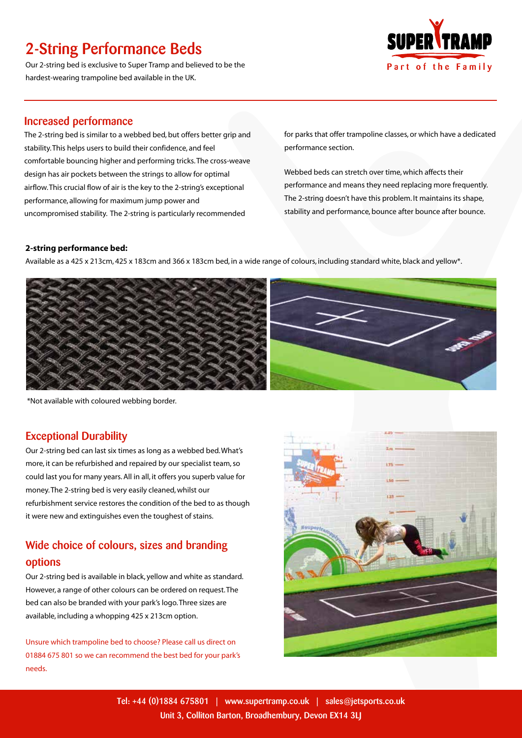# 2-String Performance Beds

Our 2-string bed is exclusive to Super Tramp and believed to be the hardest-wearing trampoline bed available in the UK.



#### Increased performance

The 2-string bed is similar to a webbed bed, but offers better grip and stability. This helps users to build their confidence, and feel comfortable bouncing higher and performing tricks. The cross-weave design has air pockets between the strings to allow for optimal airflow. This crucial flow of air is the key to the 2-string's exceptional performance, allowing for maximum jump power and uncompromised stability. The 2-string is particularly recommended

for parks that offer trampoline classes, or which have a dedicated performance section.

Webbed beds can stretch over time, which affects their performance and means they need replacing more frequently. The 2-string doesn't have this problem. It maintains its shape, stability and performance, bounce after bounce after bounce.

#### **2-string performance bed:**

Available as a 425 x 213cm, 425 x 183cm and 366 x 183cm bed, in a wide range of colours, including standard white, black and yellow\*.



\*Not available with coloured webbing border.

#### Exceptional Durability

Our 2-string bed can last six times as long as a webbed bed. What's more, it can be refurbished and repaired by our specialist team, so could last you for many years. All in all, it offers you superb value for money. The 2-string bed is very easily cleaned, whilst our refurbishment service restores the condition of the bed to as though it were new and extinguishes even the toughest of stains.

### Wide choice of colours, sizes and branding options

Our 2-string bed is available in black, yellow and white as standard. However, a range of other colours can be ordered on request. The bed can also be branded with your park's logo. Three sizes are available, including a whopping 425 x 213cm option.

Unsure which trampoline bed to choose? Please call us direct on 01884 675 801 so we can recommend the best bed for your park's needs.

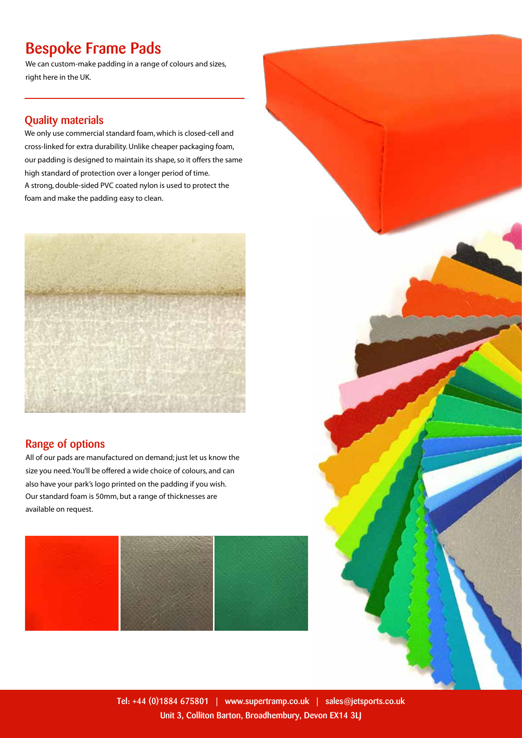# Bespoke Frame Pads

We can custom-make padding in a range of colours and sizes, right here in the UK.

### Quality materials

We only use commercial standard foam, which is closed-cell and cross-linked for extra durability. Unlike cheaper packaging foam, our padding is designed to maintain its shape, so it offers the same high standard of protection over a longer period of time. A strong, double-sided PVC coated nylon is used to protect the foam and make the padding easy to clean.



### Range of options

All of our pads are manufactured on demand; just let us know the size you need. You'll be offered a wide choice of colours, and can also have your park's logo printed on the padding if you wish. Our standard foam is 50mm, but a range of thicknesses are available on request.





Tel: +44 (0)1884 675801 | www.supertramp.co.uk | sales@jetsports.co.uk Unit 3, Colliton Barton, Broadhembury, Devon EX14 3LJ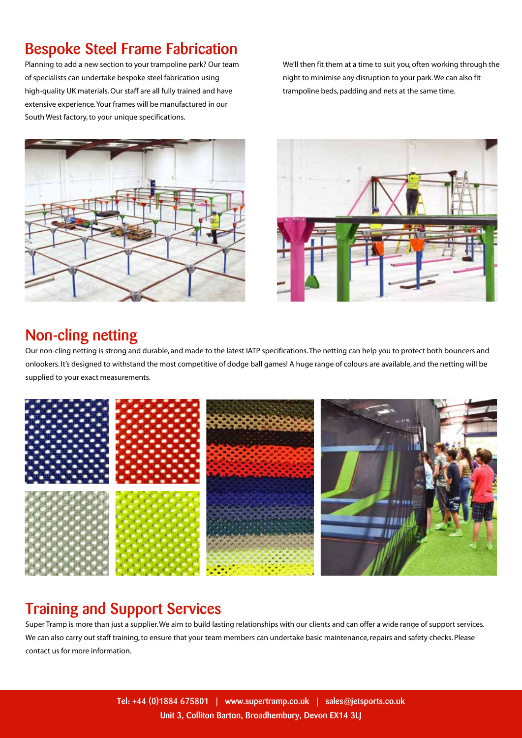# Bespoke Steel Frame Fabrication

Planning to add a new section to your trampoline park? Our team of specialists can undertake bespoke steel fabrication using high-quality UK materials. Our staff are all fully trained and have extensive experience. Your frames will be manufactured in our South West factory, to your unique specifications.

We'll then fit them at a time to suit you, often working through the night to minimise any disruption to your park. We can also fit trampoline beds, padding and nets at the same time.





# Non-cling netting

Our non-cling netting is strong and durable, and made to the latest IATP specifications. The netting can help you to protect both bouncers and onlookers. It's designed to withstand the most competitive of dodge ball games! A huge range of colours are available, and the netting will be supplied to your exact measurements.



## Training and Support Services

Super Tramp is more than just a supplier. We aim to build lasting relationships with our clients and can offer a wide range of support services. We can also carry out staff training, to ensure that your team members can undertake basic maintenance, repairs and safety checks. Please contact us for more information.